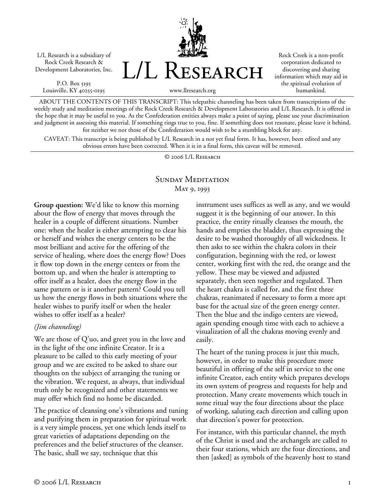L/L Research is a subsidiary of Rock Creek Research & Development Laboratories, Inc.

P.O. Box 5195 Louisville, KY 40255-0195



Rock Creek is a non-profit corporation dedicated to discovering and sharing information which may aid in the spiritual evolution of humankind.

www.llresearch.org

ABOUT THE CONTENTS OF THIS TRANSCRIPT: This telepathic channeling has been taken from transcriptions of the weekly study and meditation meetings of the Rock Creek Research & Development Laboratories and L/L Research. It is offered in the hope that it may be useful to you. As the Confederation entities always make a point of saying, please use your discrimination and judgment in assessing this material. If something rings true to you, fine. If something does not resonate, please leave it behind, for neither we nor those of the Confederation would wish to be a stumbling block for any.

CAVEAT: This transcript is being published by L/L Research in a not yet final form. It has, however, been edited and any obvious errors have been corrected. When it is in a final form, this caveat will be removed.

© 2006 L/L Research

## SUNDAY MEDITATION May 9, 1993

**Group question:** We'd like to know this morning about the flow of energy that moves through the healer in a couple of different situations. Number one: when the healer is either attempting to clear his or herself and wishes the energy centers to be the most brilliant and active for the offering of the service of healing, where does the energy flow? Does it flow top down in the energy centers or from the bottom up, and when the healer is attempting to offer itself as a healer, does the energy flow in the same pattern or is it another pattern? Could you tell us how the energy flows in both situations where the healer wishes to purify itself or when the healer wishes to offer itself as a healer?

## *(Jim channeling)*

We are those of Q'uo, and greet you in the love and in the light of the one infinite Creator. It is a pleasure to be called to this early meeting of your group and we are excited to be asked to share our thoughts on the subject of arranging the tuning or the vibration. We request, as always, that individual truth only be recognized and other statements we may offer which find no home be discarded.

The practice of cleansing one's vibrations and tuning and purifying them in preparation for spiritual work is a very simple process, yet one which lends itself to great varieties of adaptations depending on the preferences and the belief structures of the cleanser. The basic, shall we say, technique that this

instrument uses suffices as well as any, and we would suggest it is the beginning of our answer. In this practice, the entity ritually cleanses the mouth, the hands and empties the bladder, thus expressing the desire to be washed thoroughly of all wickedness. It then asks to see within the chakra colors in their configuration, beginning with the red, or lowest center, working first with the red, the orange and the yellow. These may be viewed and adjusted separately, then seen together and regulated. Then the heart chakra is called for, and the first three chakras, reanimated if necessary to form a more apt base for the actual size of the green energy center. Then the blue and the indigo centers are viewed, again spending enough time with each to achieve a visualization of all the chakras moving evenly and easily.

The heart of the tuning process is just this much, however, in order to make this procedure more beautiful in offering of the self in service to the one infinite Creator, each entity which prepares develops its own system of progress and requests for help and protection. Many create movements which touch in some ritual way the four directions about the place of working, saluting each direction and calling upon that direction's power for protection.

For instance, with this particular channel, the myth of the Christ is used and the archangels are called to their four stations, which are the four directions, and then [asked] as symbols of the heavenly host to stand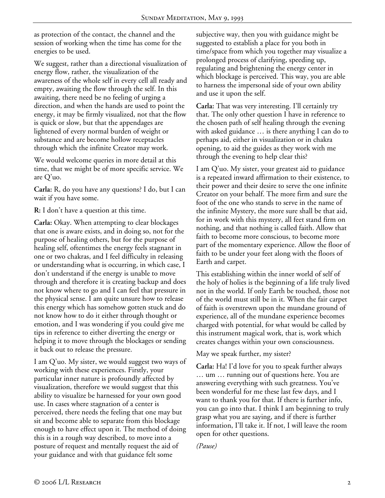as protection of the contact, the channel and the session of working when the time has come for the energies to be used.

We suggest, rather than a directional visualization of energy flow, rather, the visualization of the awareness of the whole self in every cell all ready and empty, awaiting the flow through the self. In this awaiting, there need be no feeling of urging a direction, and when the hands are used to point the energy, it may be firmly visualized, not that the flow is quick or slow, but that the appendages are lightened of every normal burden of weight or substance and are become hollow receptacles through which the infinite Creator may work.

We would welcome queries in more detail at this time, that we might be of more specific service. We are Q'uo.

**Carla:** R, do you have any questions? I do, but I can wait if you have some.

**R:** I don't have a question at this time.

**Carla:** Okay. When attempting to clear blockages that one is aware exists, and in doing so, not for the purpose of healing others, but for the purpose of healing self, oftentimes the energy feels stagnant in one or two chakras, and I feel difficulty in releasing or understanding what is occurring, in which case, I don't understand if the energy is unable to move through and therefore it is creating backup and does not know where to go and I can feel that pressure in the physical sense. I am quite unsure how to release this energy which has somehow gotten stuck and do not know how to do it either through thought or emotion, and I was wondering if you could give me tips in reference to either diverting the energy or helping it to move through the blockages or sending it back out to release the pressure.

I am Q'uo. My sister, we would suggest two ways of working with these experiences. Firstly, your particular inner nature is profoundly affected by visualization, therefore we would suggest that this ability to visualize be harnessed for your own good use. In cases where stagnation of a center is perceived, there needs the feeling that one may but sit and become able to separate from this blockage enough to have effect upon it. The method of doing this is in a rough way described, to move into a posture of request and mentally request the aid of your guidance and with that guidance felt some

subjective way, then you with guidance might be suggested to establish a place for you both in time/space from which you together may visualize a prolonged process of clarifying, speeding up, regulating and brightening the energy center in which blockage is perceived. This way, you are able to harness the impersonal side of your own ability and use it upon the self.

**Carla:** That was very interesting. I'll certainly try that. The only other question I have in reference to the chosen path of self healing through the evening with asked guidance … is there anything I can do to perhaps aid, either in visualization or in chakra opening, to aid the guides as they work with me through the evening to help clear this?

I am Q'uo. My sister, your greatest aid to guidance is a repeated inward affirmation to their existence, to their power and their desire to serve the one infinite Creator on your behalf. The more firm and sure the foot of the one who stands to serve in the name of the infinite Mystery, the more sure shall be that aid, for in work with this mystery, all feet stand firm on nothing, and that nothing is called faith. Allow that faith to become more conscious, to become more part of the momentary experience. Allow the floor of faith to be under your feet along with the floors of Earth and carpet.

This establishing within the inner world of self of the holy of holies is the beginning of a life truly lived not in the world. If only Earth be touched, those not of the world must still be in it. When the fair carpet of faith is overstrewn upon the mundane ground of experience, all of the mundane experience becomes charged with potential, for what would be called by this instrument magical work, that is, work which creates changes within your own consciousness.

## May we speak further, my sister?

**Carla:** Ha! I'd love for you to speak further always … um … running out of questions here. You are answering everything with such greatness. You've been wonderful for me these last few days, and I want to thank you for that. If there is further info, you can go into that. I think I am beginning to truly grasp what you are saying, and if there is further information, I'll take it. If not, I will leave the room open for other questions.

*(Pause)*